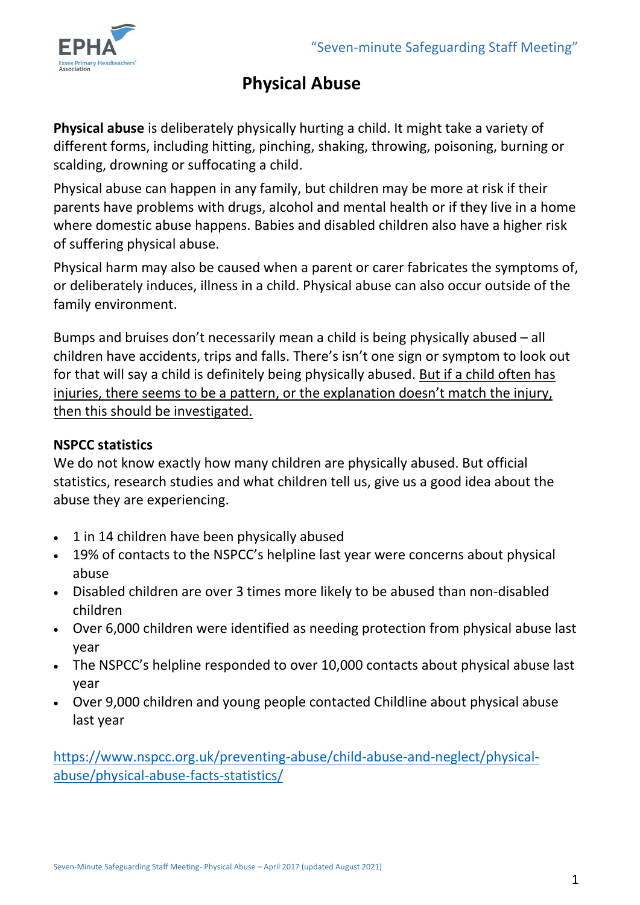

# **Physical Abuse**

**Physical abuse** is deliberately physically hurting a child. It might take a variety of different forms, including hitting, pinching, shaking, throwing, poisoning, burning or scalding, drowning or suffocating a child.

Physical abuse can happen in any family, but children may be more at risk if their parents have problems with drugs, alcohol and mental health or if they live in a home where domestic abuse happens. Babies and disabled children also have a higher risk of suffering physical abuse.

Physical harm may also be caused when a parent or carer fabricates the symptoms of, or deliberately induces, illness in a child. Physical abuse can also occur outside of the family environment.

Bumps and bruises don't necessarily mean a child is being physically abused – all children have accidents, trips and falls. There's isn't one sign or symptom to look out for that will say a child is definitely being physically abused. But if a child often has injuries, there seems to be a pattern, or the explanation doesn't match the injury, then this should be investigated.

### **NSPCC statistics**

We do not know exactly how many children are physically abused. But official statistics, research studies and what children tell us, give us a good idea about the abuse they are experiencing.

- 1 in 14 children have been physically abused
- 19% of contacts to the NSPCC's helpline last year were concerns about physical abuse
- Disabled children are over 3 times more likely to be abused than non-disabled children
- Over 6,000 children were identified as needing protection from physical abuse last year
- The NSPCC's helpline responded to over 10,000 contacts about physical abuse last year
- Over 9,000 children and young people contacted Childline about physical abuse last year

[https://www.nspcc.org.uk/preventing-abuse/child-abuse-and-neglect/physical](https://www.nspcc.org.uk/preventing-abuse/child-abuse-and-neglect/physical-abuse/physical-abuse-facts-statistics/)[abuse/physical-abuse-facts-statistics/](https://www.nspcc.org.uk/preventing-abuse/child-abuse-and-neglect/physical-abuse/physical-abuse-facts-statistics/)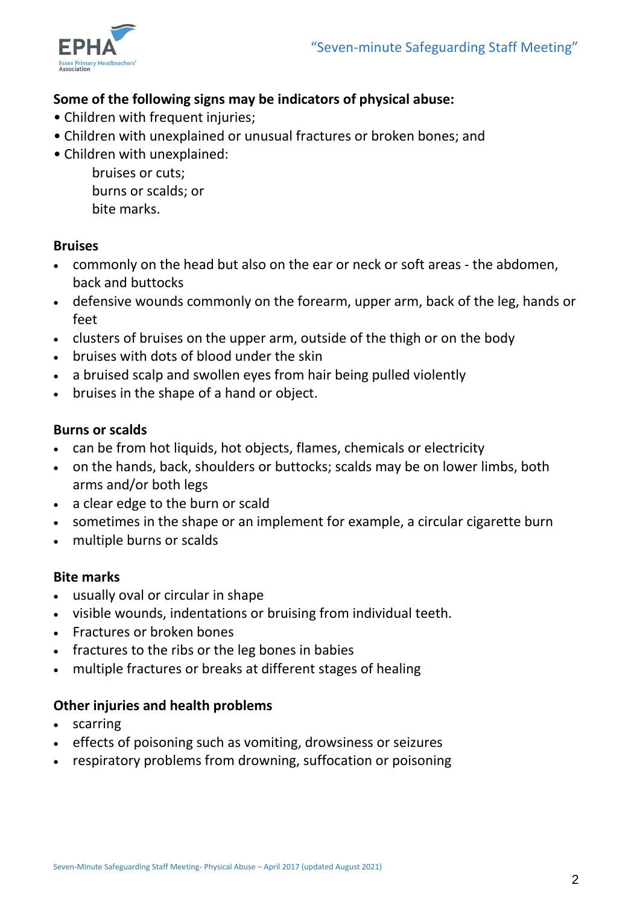

# **Some of the following signs may be indicators of physical abuse:**

- Children with frequent injuries;
- Children with unexplained or unusual fractures or broken bones; and
- Children with unexplained:
	- bruises or cuts; burns or scalds; or bite marks.

### **Bruises**

- commonly on the head but also on the ear or neck or soft areas the abdomen, back and buttocks
- defensive wounds commonly on the forearm, upper arm, back of the leg, hands or feet
- clusters of bruises on the upper arm, outside of the thigh or on the body
- bruises with dots of blood under the skin
- a bruised scalp and swollen eyes from hair being pulled violently
- bruises in the shape of a hand or object.

### **Burns or scalds**

- can be from hot liquids, hot objects, flames, chemicals or electricity
- on the hands, back, shoulders or buttocks; scalds may be on lower limbs, both arms and/or both legs
- a clear edge to the burn or scald
- sometimes in the shape or an implement for example, a circular cigarette burn
- multiple burns or scalds

### **Bite marks**

- usually oval or circular in shape
- visible wounds, indentations or bruising from individual teeth.
- Fractures or broken bones
- fractures to the ribs or the leg bones in babies
- [multiple fractures or breaks at different stages of healing](https://www.nspcc.org.uk/preventing-abuse/child-abuse-and-neglect/physical-abuse/signs-symptoms-effects/)

#### **Other injuries and health problems**

- scarring
- **EXECT:** effects of poisoning such as vomiting, drowsiness or seizures
- respiratory problems from drowning, suffocation or poisoning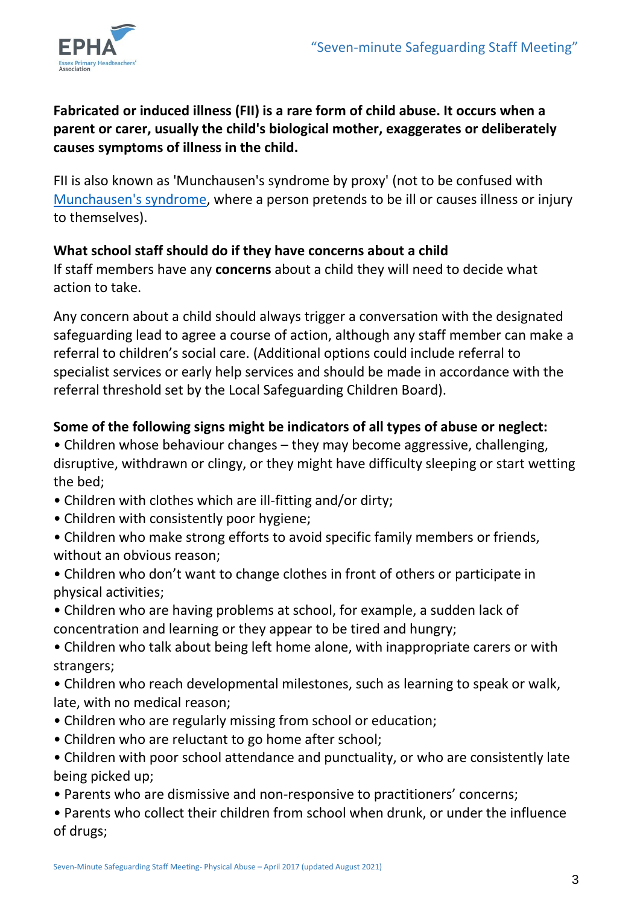

# **Fabricated or induced illness (FII) is a rare form of child abuse. It occurs when a parent or carer, usually the child's biological mother, exaggerates or deliberately causes symptoms of illness in the child.**

FII is also known as 'Munchausen's syndrome by proxy' (not to be confused with [Munchausen's syndrome,](http://www.nhs.uk/conditions/Munchausens-syndrome/Pages/Introduction.aspx) where a person pretends to be ill or causes illness or injury to themselves).

# **What school staff should do if they have concerns about a child**

If staff members have any **concerns** about a child they will need to decide what action to take.

Any concern about a child should always trigger a conversation with the designated safeguarding lead to agree a course of action, although any staff member can make a referral to children's social care. (Additional options could include referral to specialist services or early help services and should be made in accordance with the referral threshold set by the Local Safeguarding Children Board).

# **Some of the following signs might be indicators of all types of abuse or neglect:**

• Children whose behaviour changes – they may become aggressive, challenging, disruptive, withdrawn or clingy, or they might have difficulty sleeping or start wetting the bed;

- Children with clothes which are ill-fitting and/or dirty;
- Children with consistently poor hygiene;
- Children who make strong efforts to avoid specific family members or friends, without an obvious reason;
- Children who don't want to change clothes in front of others or participate in physical activities;
- Children who are having problems at school, for example, a sudden lack of concentration and learning or they appear to be tired and hungry;
- Children who talk about being left home alone, with inappropriate carers or with strangers;
- Children who reach developmental milestones, such as learning to speak or walk, late, with no medical reason;
- Children who are regularly missing from school or education;
- Children who are reluctant to go home after school;
- Children with poor school attendance and punctuality, or who are consistently late being picked up;
- Parents who are dismissive and non-responsive to practitioners' concerns;
- Parents who collect their children from school when drunk, or under the influence of drugs;